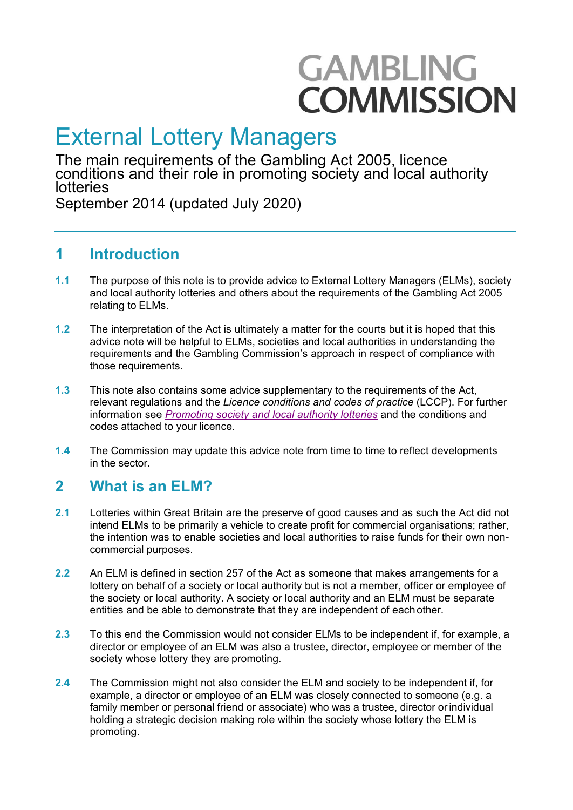# **GAMBLING COMMISSION**

## External Lottery Managers

The main requirements of the Gambling Act 2005, licence conditions and their role in promoting society and local authority lotteries

September 2014 (updated July 2020)

## **1 Introduction**

- **1.1** The purpose of this note is to provide advice to External Lottery Managers (ELMs), society and local authority lotteries and others about the requirements of the Gambling Act 2005 relating to ELMs.
- **1.2** The interpretation of the Act is ultimately a matter for the courts but it is hoped that this advice note will be helpful to ELMs, societies and local authorities in understanding the requirements and the Gambling Commission's approach in respect of compliance with those requirements.
- **1.3** This note also contains some advice supplementary to the requirements of the Act, relevant regulations and the *Licence conditions and codes of practice* (LCCP). For further information see *[Promoting society and local authority lotteries](http://www.gamblingcommission.gov.uk/PDF/Promoting-society-and-local-authority-lotteries.pdf)* and the conditions and codes attached to your licence.
- **1.4** The Commission may update this advice note from time to time to reflect developments in the sector.

## **2 What is an ELM?**

- **2.1** Lotteries within Great Britain are the preserve of good causes and as such the Act did not intend ELMs to be primarily a vehicle to create profit for commercial organisations; rather, the intention was to enable societies and local authorities to raise funds for their own noncommercial purposes.
- **2.2** An ELM is defined in section 257 of the Act as someone that makes arrangements for a lottery on behalf of a society or local authority but is not a member, officer or employee of the society or local authority. A society or local authority and an ELM must be separate entities and be able to demonstrate that they are independent of each other.
- **2.3** To this end the Commission would not consider ELMs to be independent if, for example, a director or employee of an ELM was also a trustee, director, employee or member of the society whose lottery they are promoting.
- **2.4** The Commission might not also consider the ELM and society to be independent if, for example, a director or employee of an ELM was closely connected to someone (e.g. a family member or personal friend or associate) who was a trustee, director orindividual holding a strategic decision making role within the society whose lottery the ELM is promoting.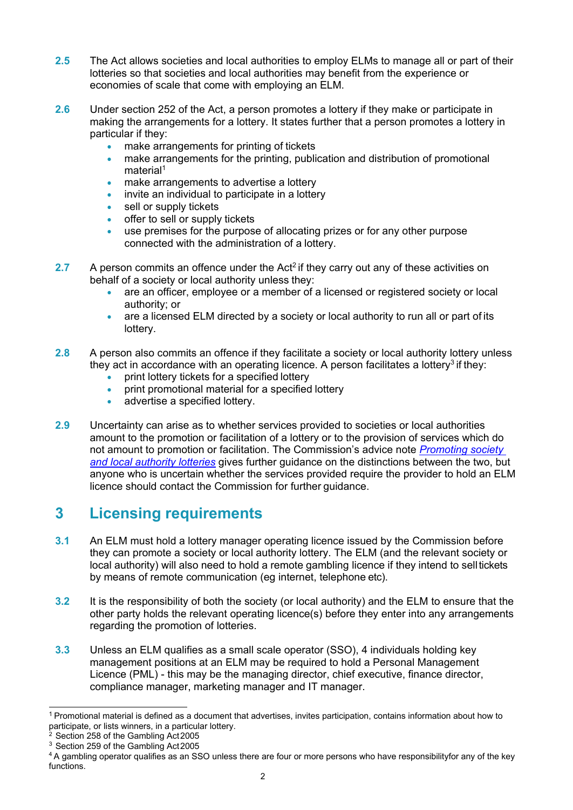- **2.5** The Act allows societies and local authorities to employ ELMs to manage all or part of their lotteries so that societies and local authorities may benefit from the experience or economies of scale that come with employing an ELM.
- **2.6** Under section 252 of the Act, a person promotes a lottery if they make or participate in making the arrangements for a lottery. It states further that a person promotes a lottery in particular if they:
	- make arrangements for printing of tickets
	- make arrangements for the printing, publication and distribution of promotional material<sup>1</sup>
	- make arrangements to advertise a lottery
	- invite an individual to participate in a lottery
	- sell or supply tickets
	- offer to sell or supply tickets
	- use premises for the purpose of allocating prizes or for any other purpose connected with the administration of a lottery.
- **2.7** A person commits an offence under the Act<sup>2</sup> if they carry out any of these activities on behalf of a society or local authority unless they:
	- are an officer, employee or a member of a licensed or registered society or local authority; or
	- are a licensed ELM directed by a society or local authority to run all or part of its lottery.
- **2.8** A person also commits an offence if they facilitate a society or local authority lottery unless they act in accordance with an operating licence. A person facilitates a lottery<sup>3</sup> if they:
	- print lottery tickets for a specified lottery
	- print promotional material for a specified lottery
	- advertise a specified lottery.
- **2.9** Uncertainty can arise as to whether services provided to societies or local authorities amount to the promotion or facilitation of a lottery or to the provision of services which do not amount to promotion or facilitation. The Commission's advice note *[Promoting society](http://www.gamblingcommission.gov.uk/PDF/Promoting-society-and-local-authority-lotteries.pdf) [and local authority lotteries](http://www.gamblingcommission.gov.uk/PDF/Promoting-society-and-local-authority-lotteries.pdf)* gives further guidance on the distinctions between the two, bu[t](http://www.gamblingcommission.gov.uk/PDF/Promoting-society-and-local-authority-lotteries.pdf) [anyone who is uncertain wheth](http://www.gamblingcommission.gov.uk/PDF/Promoting-society-and-local-authority-lotteries.pdf)er the services provided require the provider to hold an ELM licence should contact the Commission for further guidance.

## **3 Licensing requirements**

- **3.1** An ELM must hold a lottery manager operating licence issued by the Commission before they can promote a society or local authority lottery. The ELM (and the relevant society or local authority) will also need to hold a remote gambling licence if they intend to sell tickets by means of remote communication (eg internet, telephone etc).
- **3.2** It is the responsibility of both the society (or local authority) and the ELM to ensure that the other party holds the relevant operating licence(s) before they enter into any arrangements regarding the promotion of lotteries.
- **3.3** Unless an ELM qualifies as a small scale operator (SSO), [4](#page-1-3) individuals holding key management positions at an ELM may be required to hold a Personal Management Licence (PML) - this may be the managing director, chief executive, finance director, compliance manager, marketing manager and IT manager.

<span id="page-1-0"></span><sup>1</sup> Promotional material is defined as a document that advertises, invites participation, contains information about how to participate, or lists winners, in a particular lottery.

<span id="page-1-1"></span><sup>&</sup>lt;sup>2</sup> Section 258 of the Gambling Act 2005

<span id="page-1-3"></span><span id="page-1-2"></span><sup>&</sup>lt;sup>3</sup> Section 259 of the Gambling Act 2005

<sup>4</sup> A gambling operator qualifies as an SSO unless there are four or more persons who have responsibilityfor any of the key functions.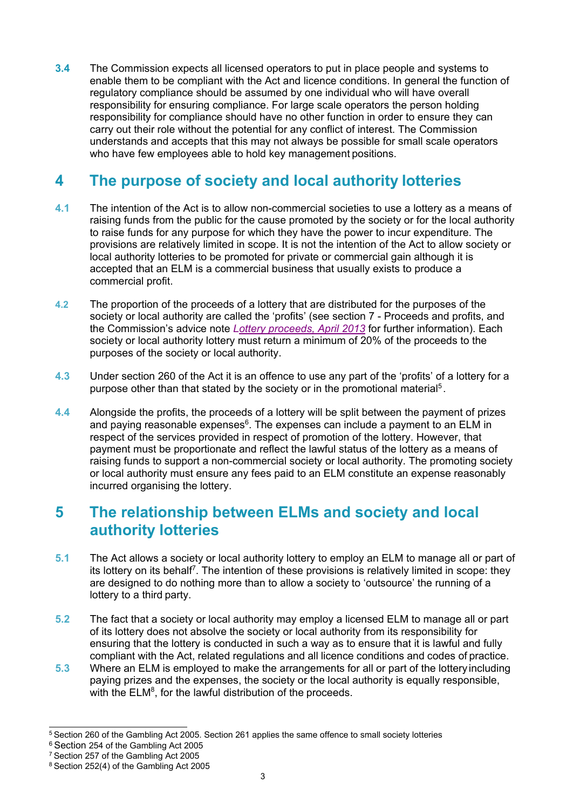**3.4** The Commission expects all licensed operators to put in place people and systems to enable them to be compliant with the Act and licence conditions. In general the function of regulatory compliance should be assumed by one individual who will have overall responsibility for ensuring compliance. For large scale operators the person holding responsibility for compliance should have no other function in order to ensure they can carry out their role without the potential for any conflict of interest. The Commission understands and accepts that this may not always be possible for small scale operators who have few employees able to hold key management positions.

## **4 The purpose of society and local authority lotteries**

- **4.1** The intention of the Act is to allow non-commercial societies to use a lottery as a means of raising funds from the public for the cause promoted by the society or for the local authority to raise funds for any purpose for which they have the power to incur expenditure. The provisions are relatively limited in scope. It is not the intention of the Act to allow society or local authority lotteries to be promoted for private or commercial gain although it is accepted that an ELM is a commercial business that usually exists to produce a commercial profit.
- **4.2** The proportion of the proceeds of a lottery that are distributed for the purposes of the society or local authority are called the 'profits' (see section 7 - Proceeds and profits, and the Commission's advice note *[Lottery proceeds, April 2013](http://www.gamblingcommission.gov.uk/PDF/Lottery-proceeds-advice-note.pdf)* for further information). Each society or local authority lottery must return a minimum of 20% of the proceeds to the purposes of the society or local authority.
- **4.3** Under section 260 of the Act it is an offence to use any part of the 'profits' of a lottery for a purpose other than that stated by the society or in the promotional material<sup>5</sup>.
- **4.4** Alongside the profits, the proceeds of a lottery will be split between the payment of prizes and paying reasonable expenses $^6$ . The expenses can include a payment to an ELM in respect of the services provided in respect of promotion of the lottery. However, that payment must be proportionate and reflect the lawful status of the lottery as a means of raising funds to support a non-commercial society or local authority. The promoting society or local authority must ensure any fees paid to an ELM constitute an expense reasonably incurred organising the lottery.

## **5 The relationship between ELMs and society and local authority lotteries**

- **5.1** The Act allows a society or local authority lottery to employ an ELM to manage all or part of its lottery on its behalf<sup>7</sup>. The intention of these provisions is relatively limited in scope: they are designed to do nothing more than to allow a society to 'outsource' the running of a lottery to a third party.
- **5.2** The fact that a society or local authority may employ a licensed ELM to manage all or part of its lottery does not absolve the society or local authority from its responsibility for ensuring that the lottery is conducted in such a way as to ensure that it is lawful and fully compliant with the Act, related regulations and all licence conditions and codes of practice.
- **5.3** Where an ELM is employed to make the arrangements for all or part of the lottery including paying prizes and the expenses, the society or the local authority is equally responsible, with the  $\mathsf{ELM}^8$ , for the lawful distribution of the proceeds.

<span id="page-2-0"></span><sup>5</sup> Section 260 of the Gambling Act 2005. Section 261 applies the same offence to small society lotteries

<span id="page-2-2"></span><span id="page-2-1"></span><sup>6</sup> Section 254 of the Gambling Act 2005

<sup>7</sup> Section 257 of the Gambling Act 2005

<span id="page-2-3"></span><sup>8</sup> Section 252(4) of the Gambling Act 2005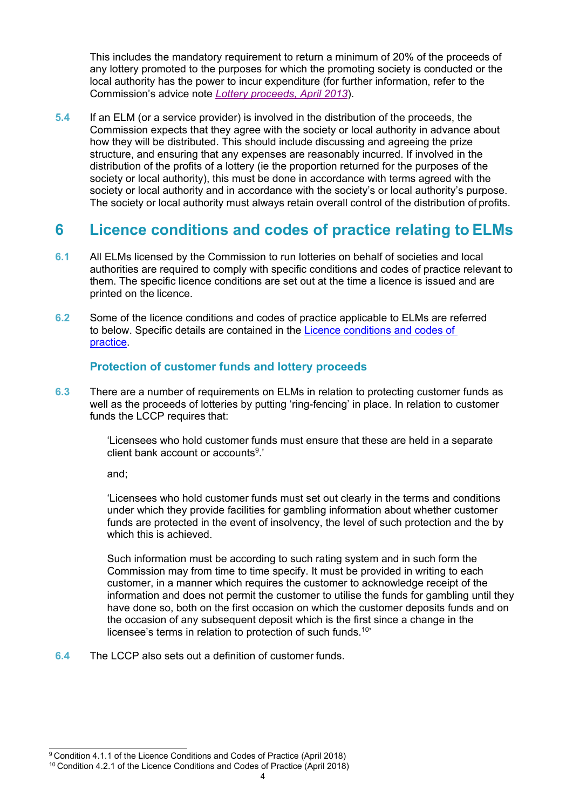This includes the mandatory requirement to return a minimum of 20% of the proceeds of any lottery promoted to the purposes for which the promoting society is conducted or the local authority has the power to incur expenditure (for further information, refer to the Commission's advice note *[Lottery proceeds, April 2013](http://www.gamblingcommission.gov.uk/PDF/Lottery-proceeds-advice-note.pdf)*).

**5.4** If an ELM (or a service provider) is involved in the distribution of the proceeds, the Commission expects that they agree with the society or local authority in advance about how they will be distributed. This should include discussing and agreeing the prize structure, and ensuring that any expenses are reasonably incurred. If involved in the distribution of the profits of a lottery (ie the proportion returned for the purposes of the society or local authority), this must be done in accordance with terms agreed with the society or local authority and in accordance with the society's or local authority's purpose. The society or local authority must always retain overall control of the distribution of profits.

## **6 Licence conditions and codes of practice relating to ELMs**

- **6.1** All ELMs licensed by the Commission to run lotteries on behalf of societies and local authorities are required to comply with specific conditions and codes of practice relevant to them. The specific licence conditions are set out at the time a licence is issued and are printed on the licence.
- **6.2** Some of the licence conditions and codes of practice applicable to ELMs are referred to below. Specific details are contained in the [Licence conditions and codes of](http://www.gamblingcommission.gov.uk/for-gambling-businesses/Compliance/LCCP/Licence-conditions-and-codes-of-practice.aspx) [practice.](http://www.gamblingcommission.gov.uk/for-gambling-businesses/Compliance/LCCP/Licence-conditions-and-codes-of-practice.aspx)

#### **Protection of customer funds and lottery proceeds**

**6.3** There are a number of requirements on ELMs in relation to protecting customer funds as well as the proceeds of lotteries by putting 'ring-fencing' in place. In relation to customer funds the LCCP requires that:

> 'Licensees who hold customer funds must ensure that these are held in a separate client bank account or accounts<sup>9</sup>.'

and;

'Licensees who hold customer funds must set out clearly in the terms and conditions under which they provide facilities for gambling information about whether customer funds are protected in the event of insolvency, the level of such protection and the by which this is achieved.

Such information must be according to such rating system and in such form the Commission may from time to time specify. It must be provided in writing to each customer, in a manner which requires the customer to acknowledge receipt of the information and does not permit the customer to utilise the funds for gambling until they have done so, both on the first occasion on which the customer deposits funds and on the occasion of any subsequent deposit which is the first since a change in the licensee's terms in relation to protection of such funds.<sup>10'</sup>

**6.4** The LCCP also sets out a definition of customer funds.

<span id="page-3-0"></span><sup>&</sup>lt;sup>9</sup> Condition 4.1.1 of the Licence Conditions and Codes of Practice (April 2018)

<span id="page-3-1"></span><sup>&</sup>lt;sup>10</sup> Condition 4.2.1 of the Licence Conditions and Codes of Practice (April 2018)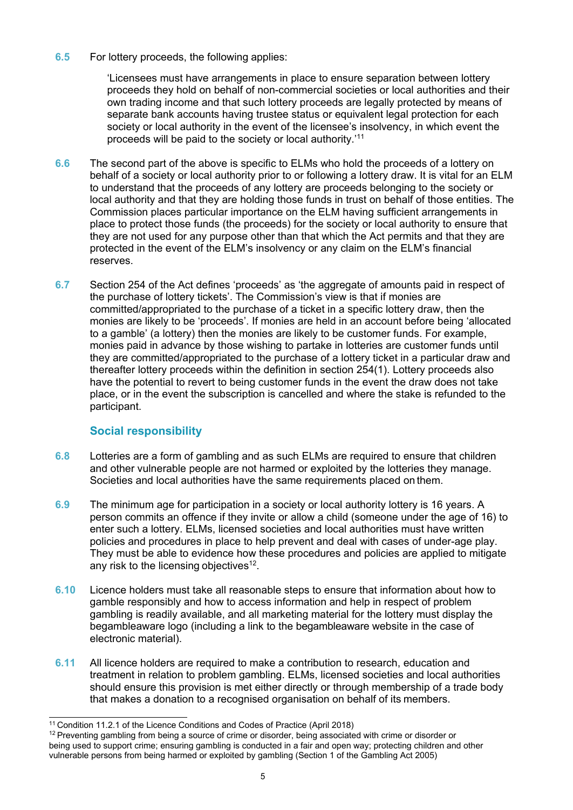#### **6.5** For lottery proceeds, the following applies:

'Licensees must have arrangements in place to ensure separation between lottery proceeds they hold on behalf of non-commercial societies or local authorities and their own trading income and that such lottery proceeds are legally protected by means of separate bank accounts having trustee status or equivalent legal protection for each society or local authority in the event of the licensee's insolvency, in which event the proceeds will be paid to the society or local authority.['11](#page-4-0)

- **6.6** The second part of the above is specific to ELMs who hold the proceeds of a lottery on behalf of a society or local authority prior to or following a lottery draw. It is vital for an ELM to understand that the proceeds of any lottery are proceeds belonging to the society or local authority and that they are holding those funds in trust on behalf of those entities. The Commission places particular importance on the ELM having sufficient arrangements in place to protect those funds (the proceeds) for the society or local authority to ensure that they are not used for any purpose other than that which the Act permits and that they are protected in the event of the ELM's insolvency or any claim on the ELM's financial reserves.
- **6.7** Section 254 of the Act defines 'proceeds' as 'the aggregate of amounts paid in respect of the purchase of lottery tickets'. The Commission's view is that if monies are committed/appropriated to the purchase of a ticket in a specific lottery draw, then the monies are likely to be 'proceeds'. If monies are held in an account before being 'allocated to a gamble' (a lottery) then the monies are likely to be customer funds. For example, monies paid in advance by those wishing to partake in lotteries are customer funds until they are committed/appropriated to the purchase of a lottery ticket in a particular draw and thereafter lottery proceeds within the definition in section 254(1). Lottery proceeds also have the potential to revert to being customer funds in the event the draw does not take place, or in the event the subscription is cancelled and where the stake is refunded to the participant.

#### **Social responsibility**

- **6.8** Lotteries are a form of gambling and as such ELMs are required to ensure that children and other vulnerable people are not harmed or exploited by the lotteries they manage. Societies and local authorities have the same requirements placed on them.
- **6.9** The minimum age for participation in a society or local authority lottery is 16 years. A person commits an offence if they invite or allow a child (someone under the age of 16) to enter such a lottery. ELMs, licensed societies and local authorities must have written policies and procedures in place to help prevent and deal with cases of under-age play. They must be able to evidence how these procedures and policies are applied to mitigate any risk to the licensing objectives<sup>12</sup>.
- **6.10** Licence holders must take all reasonable steps to ensure that information about how to gamble responsibly and how to access information and help in respect of problem gambling is readily available, and all marketing material for the lottery must display the begambleaware logo (including a link to the begambleaware website in the case of electronic material).
- **6.11** All licence holders are required to make a contribution to research, education and treatment in relation to problem gambling. ELMs, licensed societies and local authorities should ensure this provision is met either directly or through membership of a trade body that makes a donation to a recognised organisation on behalf of its members.

<span id="page-4-0"></span><sup>&</sup>lt;sup>11</sup> Condition 11.2.1 of the Licence Conditions and Codes of Practice (April 2018)

<span id="page-4-1"></span> $12$  Preventing gambling from being a source of crime or disorder, being associated with crime or disorder or being used to support crime; ensuring gambling is conducted in a fair and open way; protecting children and other vulnerable persons from being harmed or exploited by gambling (Section 1 of the Gambling Act 2005)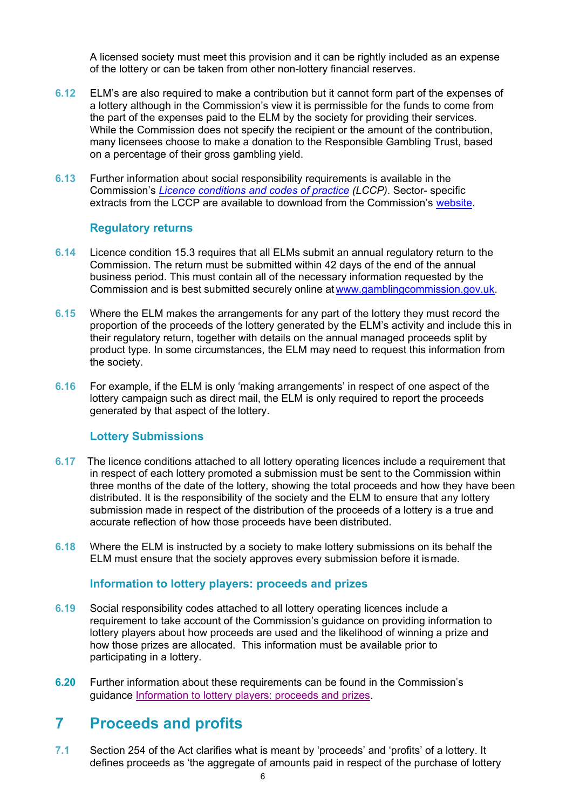A licensed society must meet this provision and it can be rightly included as an expense of the lottery or can be taken from other non-lottery financial reserves.

- **6.12** ELM's are also required to make a contribution but it cannot form part of the expenses of a lottery although in the Commission's view it is permissible for the funds to come from the part of the expenses paid to the ELM by the society for providing their services. While the Commission does not specify the recipient or the amount of the contribution, many licensees choose to make a donation to the Responsible Gambling Trust, based on a percentage of their gross gambling yield.
- **6.13** Further information about social responsibility requirements is available in the Commission's *[Licence conditions and codes](http://www.gamblingcommission.gov.uk/for-gambling-businesses/Compliance/LCCP/Licence-conditions-and-codes-of-practice.aspx) of practice (LCCP)*. Sector- specific extracts from the LCCP are available to download from the Co[mmission's](http://www.gamblingcommission.gov.uk/for-gambling-businesses/Compliance/LCCP/Licence-conditions-and-codes-of-practice-sector-extracts.aspx) website.

#### **Regulatory returns**

- **6.14** Licence condition 15.3 requires that all ELMs submit an annual regulatory return to the Commission. The return must be submitted within 42 days of the end of the annual business period. This must contain all of the necessary information requested by the Commission and is best submitted securely online at [www.gamblingcommission.gov.uk.](http://www.gamblingcommission.gov.uk/for-gambling-businesses/eServices-our-online-self-serve-portal.aspx)
- **6.15** Where the ELM makes the arrangements for any part of the lottery they must record the proportion of the proceeds of the lottery generated by the ELM's activity and include this in their regulatory return, together with details on the annual managed proceeds split by product type. In some circumstances, the ELM may need to request this information from the society.
- **6.16** For example, if the ELM is only 'making arrangements' in respect of one aspect of the lottery campaign such as direct mail, the ELM is only required to report the proceeds generated by that aspect of the lottery.

#### **Lottery Submissions**

- **6.17** The licence conditions attached to all lottery operating licences include a requirement that in respect of each lottery promoted a submission must be sent to the Commission within three months of the date of the lottery, showing the total proceeds and how they have been distributed. It is the responsibility of the society and the ELM to ensure that any lottery submission made in respect of the distribution of the proceeds of a lottery is a true and accurate reflection of how those proceeds have been distributed.
- **6.18** Where the ELM is instructed by a society to make lottery submissions on its behalf the ELM must ensure that the society approves every submission before it ismade.

#### **Information to lottery players: proceeds and prizes**

- **6.19** Social responsibility codes attached to all lottery operating licences include a requirement to take account of the Commission's guidance on providing information to lottery players about how proceeds are used and the likelihood of winning a prize and how those prizes are allocated. This information must be available prior to participating in a lottery.
- **6.20** Further information about these requirements can be found in the Commission's guidance [Information to lottery players: proceeds and prizes.](http://www.gamblingcommission.gov.uk/PDF/Society-lotteries-guidance-to-operators.pdf)

### **7 Proceeds and profits**

**7.1** Section 254 of the Act clarifies what is meant by 'proceeds' and 'profits' of a lottery. It defines proceeds as 'the aggregate of amounts paid in respect of the purchase of lottery